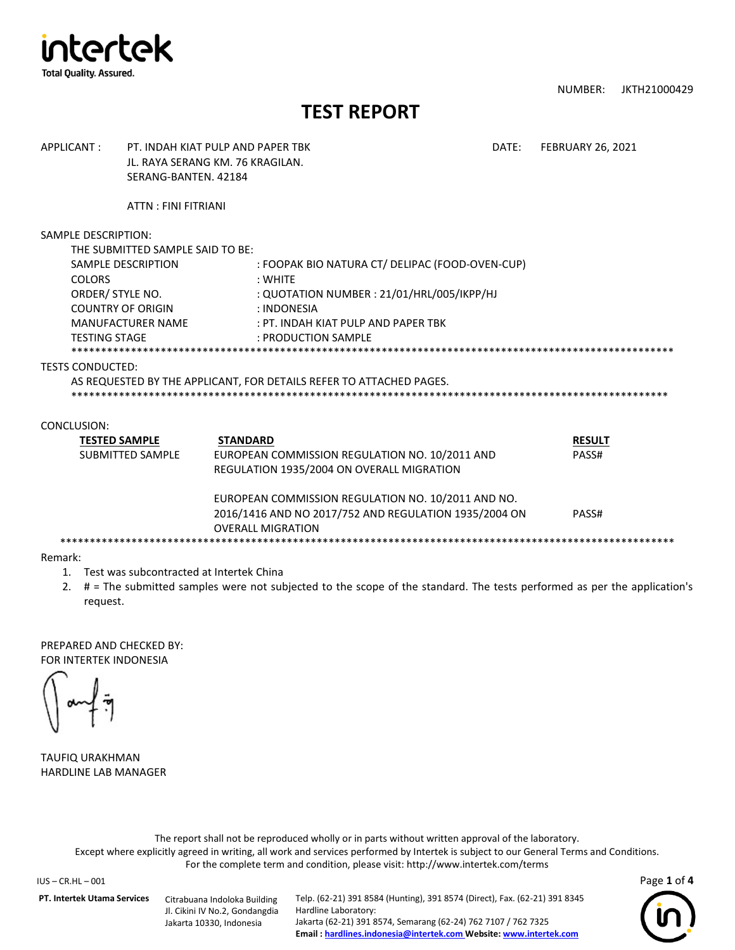

NUMBER: JKTH21000429

## **TEST REPORT**

| APPLICANT:                                                                                                   | PT. INDAH KIAT PUI P AND PAPER TRK<br>JL. RAYA SERANG KM. 76 KRAGILAN.<br>SERANG-BANTEN, 42184 |                                                                                                                                                                                                                                                           | DATE: | <b>FEBRUARY 26, 2021</b>        |
|--------------------------------------------------------------------------------------------------------------|------------------------------------------------------------------------------------------------|-----------------------------------------------------------------------------------------------------------------------------------------------------------------------------------------------------------------------------------------------------------|-------|---------------------------------|
|                                                                                                              | <b>ATTN: FINI FITRIANI</b>                                                                     |                                                                                                                                                                                                                                                           |       |                                 |
| SAMPLE DESCRIPTION:<br><b>COLORS</b><br>ORDER/ STYLE NO.<br><b>COUNTRY OF ORIGIN</b><br><b>TESTING STAGE</b> | THE SUBMITTED SAMPLE SAID TO BE:<br>SAMPLE DESCRIPTION<br><b>MANUFACTURER NAME</b>             | : FOOPAK BIO NATURA CT/ DELIPAC (FOOD-OVEN-CUP)<br>: WHITE<br>: QUOTATION NUMBER : 21/01/HRL/005/IKPP/HJ<br>: INDONESIA<br>: PT. INDAH KIAT PULP AND PAPER TBK<br>: PRODUCTION SAMPLE                                                                     |       |                                 |
| <b>TESTS CONDUCTED:</b>                                                                                      |                                                                                                | AS REQUESTED BY THE APPLICANT, FOR DETAILS REFER TO ATTACHED PAGES.                                                                                                                                                                                       |       |                                 |
| CONCLUSION:<br><b>TESTED SAMPLE</b>                                                                          | <b>SUBMITTED SAMPLE</b>                                                                        | <b>STANDARD</b><br>EUROPEAN COMMISSION REGULATION NO. 10/2011 AND<br>REGULATION 1935/2004 ON OVERALL MIGRATION<br>EUROPEAN COMMISSION REGULATION NO. 10/2011 AND NO.<br>2016/1416 AND NO 2017/752 AND REGULATION 1935/2004 ON<br><b>OVERALL MIGRATION</b> |       | <b>RESULT</b><br>PASS#<br>PASS# |
|                                                                                                              |                                                                                                |                                                                                                                                                                                                                                                           |       |                                 |

Remark:

- 1. Test was subcontracted at Intertek China
- 2. # = The submitted samples were not subjected to the scope of the standard. The tests performed as per the application's request.

PREPARED AND CHECKED BY: FOR INTERTEK INDONESIA

TAUFIQ URAKHMAN HARDLINE LAB MANAGER

The report shall not be reproduced wholly or in parts without written approval of the laboratory. Except where explicitly agreed in writing, all work and services performed by Intertek is subject to our General Terms and Conditions. For the complete term and condition, please visit: http://www.intertek.com/terms

IUS – CR.HL – 001 Page **1** of **4**

**PT. Intertek Utama Services** Citrabuana Indoloka Building

Jl. Cikini IV No.2, Gondangdia Jakarta 10330, Indonesia

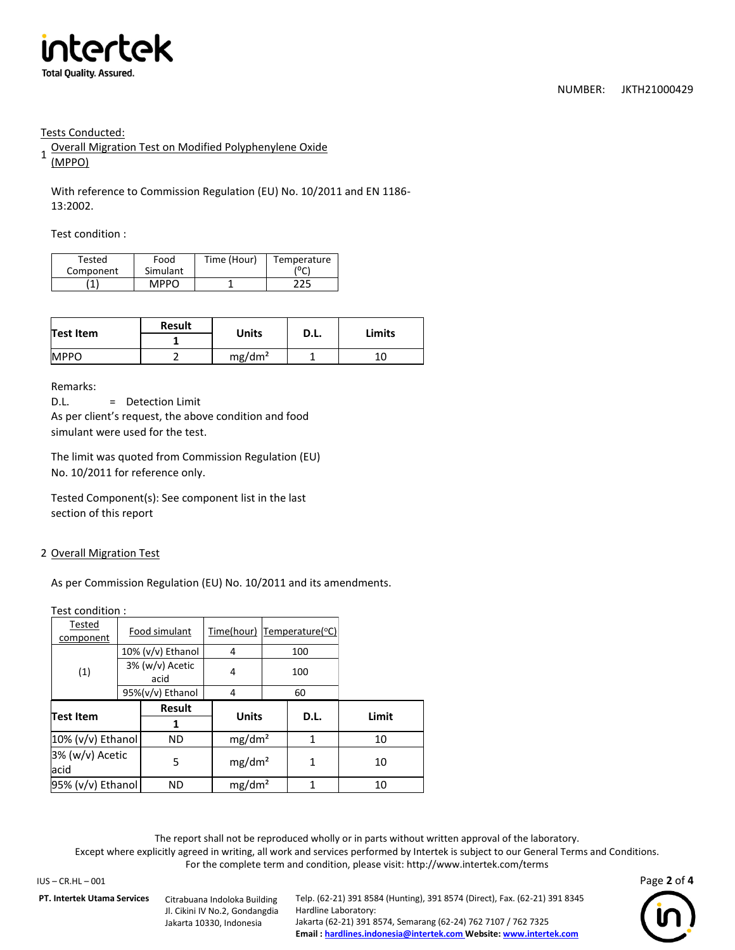

Tests Conducted:

1 Overall Migration Test on Modified Polyphenylene Oxide (MPPO)

With reference to Commission Regulation (EU) No. 10/2011 and EN 1186- 13:2002.

Test condition :

| Tested    | Food        | Time (Hour) | Temperature |
|-----------|-------------|-------------|-------------|
| Component | Simulant    |             | ٬۰۵         |
| Ŧ.        | <b>MPPO</b> |             | つつに         |

| Test Item   | Result | <b>Units</b>       | D.L. | <b>Limits</b> |  |
|-------------|--------|--------------------|------|---------------|--|
|             |        |                    |      |               |  |
| <b>MPPO</b> |        | mg/dm <sup>2</sup> |      | 10            |  |

Remarks:

D.L. = Detection Limit As per client's request, the above condition and food simulant were used for the test.

The limit was quoted from Commission Regulation (EU) No. 10/2011 for reference only.

Tested Component(s): See component list in the last section of this report

## 2 Overall Migration Test

As per Commission Regulation (EU) No. 10/2011 and its amendments.

Test condition :

| Tested<br>component        | Food simulant           |                      | Time(hour)         | Temperature(°C) |      |       |
|----------------------------|-------------------------|----------------------|--------------------|-----------------|------|-------|
|                            |                         | $10\%$ (v/v) Ethanol | 4                  | 100             |      |       |
| (1)                        | 3% (w/v) Acetic<br>acid |                      | 4                  | 100             |      |       |
|                            |                         | 95%(v/v) Ethanol     | 4                  |                 | 60   |       |
| <b>Test Item</b>           |                         | Result               | <b>Units</b>       |                 | D.L. | Limit |
|                            |                         |                      |                    |                 |      |       |
| 10% (v/v) Ethanol          |                         | <b>ND</b>            | mg/dm <sup>2</sup> |                 | 1    | 10    |
| 3% (w/v) Acetic<br>acid    |                         | 5                    | mg/dm <sup>2</sup> |                 | 1    | 10    |
| $95\%$ (v/v) Ethanol<br>ND |                         | mg/dm <sup>2</sup>   |                    | 1               | 10   |       |

The report shall not be reproduced wholly or in parts without written approval of the laboratory.

Except where explicitly agreed in writing, all work and services performed by Intertek is subject to our General Terms and Conditions. For the complete term and condition, please visit: http://www.intertek.com/terms

IUS – CR.HL – 001 Page **2** of **4**

**PT. Intertek Utama Services** Citrabuana Indoloka Building

Jl. Cikini IV No.2, Gondangdia Jakarta 10330, Indonesia

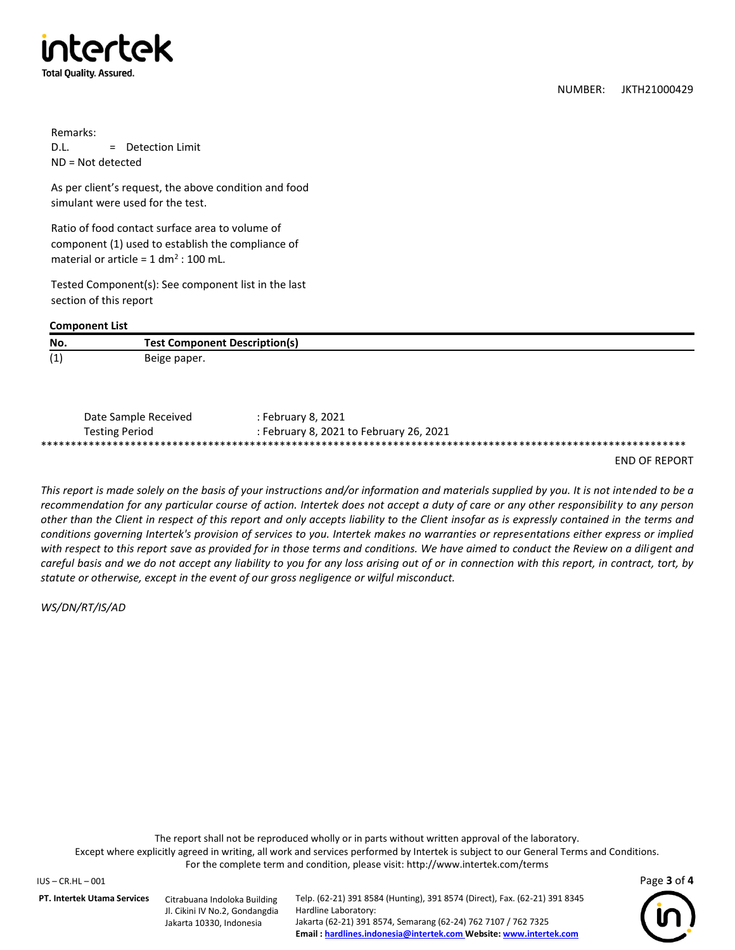

NUMBER: JKTH21000429

Remarks: D.L. = Detection Limit ND = Not detected

As per client's request, the above condition and food simulant were used for the test.

Ratio of food contact surface area to volume of component (1) used to establish the compliance of material or article =  $1 \text{ dm}^2$  : 100 mL.

Tested Component(s): See component list in the last section of this report

## **Component List**

| No.               | <b>Test Component Description(s)</b> |
|-------------------|--------------------------------------|
| $\sqrt{4}$<br>. . | Beige paper.                         |

| Date Sample Received  | : February 8, 2021                      |  |  |
|-----------------------|-----------------------------------------|--|--|
| <b>Testing Period</b> | : February 8, 2021 to February 26, 2021 |  |  |
|                       |                                         |  |  |

END OF REPORT

*This report is made solely on the basis of your instructions and/or information and materials supplied by you. It is not intended to be a recommendation for any particular course of action. Intertek does not accept a duty of care or any other responsibility to any person other than the Client in respect of this report and only accepts liability to the Client insofar as is expressly contained in the terms and conditions governing Intertek's provision of services to you. Intertek makes no warranties or representations either express or implied*  with respect to this report save as provided for in those terms and conditions. We have aimed to conduct the Review on a diligent and *careful basis and we do not accept any liability to you for any loss arising out of or in connection with this report, in contract, tort, by statute or otherwise, except in the event of our gross negligence or wilful misconduct.*

*WS/DN/RT/IS/AD*

The report shall not be reproduced wholly or in parts without written approval of the laboratory. Except where explicitly agreed in writing, all work and services performed by Intertek is subject to our General Terms and Conditions. For the complete term and condition, please visit: http://www.intertek.com/terms

IUS – CR.HL – 001 Page **3** of **4**

**PT. Intertek Utama Services** Citrabuana Indoloka Building

Jl. Cikini IV No.2, Gondangdia Jakarta 10330, Indonesia